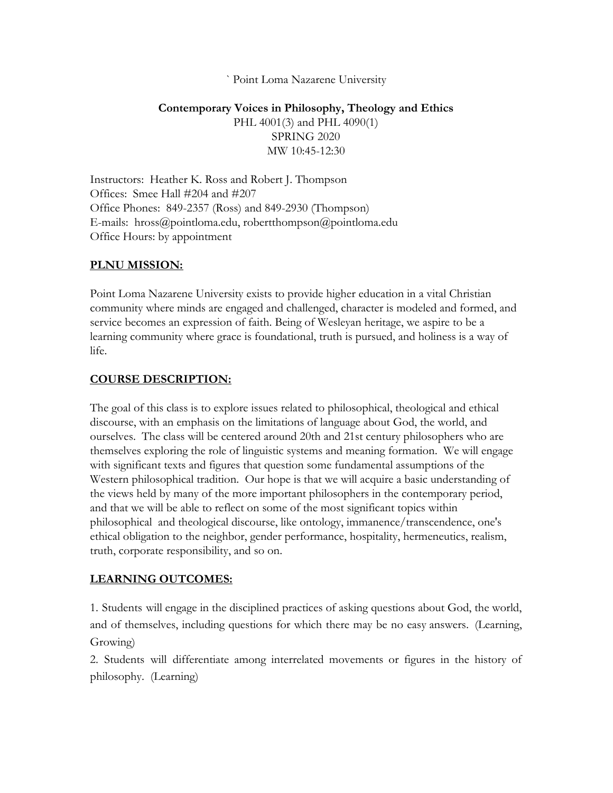#### ` Point Loma Nazarene University

### **Contemporary Voices in Philosophy, Theology and Ethics** PHL 4001(3) and PHL 4090(1) SPRING 2020 MW 10:45-12:30

Instructors: Heather K. Ross and Robert J. Thompson Offices: Smee Hall #204 and #207 Office Phones: 849-2357 (Ross) and 849-2930 (Thompson) E-mails: hross@pointloma.edu, robertthompson@pointloma.edu Office Hours: by appointment

#### **PLNU MISSION:**

Point Loma Nazarene University exists to provide higher education in a vital Christian community where minds are engaged and challenged, character is modeled and formed, and service becomes an expression of faith. Being of Wesleyan heritage, we aspire to be a learning community where grace is foundational, truth is pursued, and holiness is a way of life.

#### **COURSE DESCRIPTION:**

The goal of this class is to explore issues related to philosophical, theological and ethical discourse, with an emphasis on the limitations of language about God, the world, and ourselves. The class will be centered around 20th and 21st century philosophers who are themselves exploring the role of linguistic systems and meaning formation. We will engage with significant texts and figures that question some fundamental assumptions of the Western philosophical tradition. Our hope is that we will acquire a basic understanding of the views held by many of the more important philosophers in the contemporary period, and that we will be able to reflect on some of the most significant topics within philosophical and theological discourse, like ontology, immanence/transcendence, one's ethical obligation to the neighbor, gender performance, hospitality, hermeneutics, realism, truth, corporate responsibility, and so on.

#### **LEARNING OUTCOMES:**

1. Students will engage in the disciplined practices of asking questions about God, the world, and of themselves, including questions for which there may be no easy answers. (Learning, Growing)

2. Students will differentiate among interrelated movements or figures in the history of philosophy. (Learning)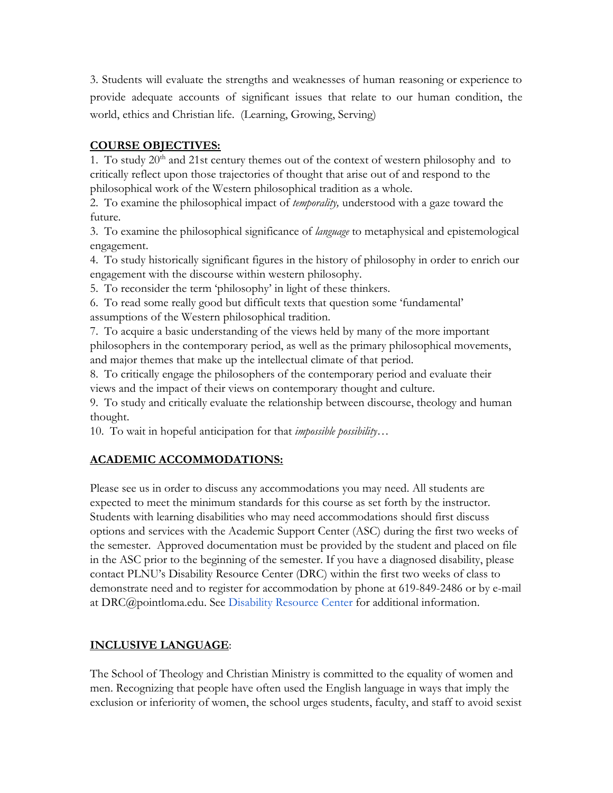3. Students will evaluate the strengths and weaknesses of human reasoning or experience to provide adequate accounts of significant issues that relate to our human condition, the world, ethics and Christian life. (Learning, Growing, Serving)

# **COURSE OBJECTIVES:**

1. To study  $20<sup>th</sup>$  and  $21$ st century themes out of the context of western philosophy and to critically reflect upon those trajectories of thought that arise out of and respond to the philosophical work of the Western philosophical tradition as a whole.

2. To examine the philosophical impact of *temporality,* understood with a gaze toward the future.

3. To examine the philosophical significance of *language* to metaphysical and epistemological engagement.

4. To study historically significant figures in the history of philosophy in order to enrich our engagement with the discourse within western philosophy.

5. To reconsider the term 'philosophy' in light of these thinkers.

6. To read some really good but difficult texts that question some 'fundamental' assumptions of the Western philosophical tradition.

7. To acquire a basic understanding of the views held by many of the more important philosophers in the contemporary period, as well as the primary philosophical movements, and major themes that make up the intellectual climate of that period.

8. To critically engage the philosophers of the contemporary period and evaluate their views and the impact of their views on contemporary thought and culture.

9. To study and critically evaluate the relationship between discourse, theology and human thought.

10. To wait in hopeful anticipation for that *impossible possibility*…

# **ACADEMIC ACCOMMODATIONS:**

Please see us in order to discuss any accommodations you may need. All students are expected to meet the minimum standards for this course as set forth by the instructor. Students with learning disabilities who may need accommodations should first discuss options and services with the Academic Support Center (ASC) during the first two weeks of the semester. Approved documentation must be provided by the student and placed on file in the ASC prior to the beginning of the semester. If you have a diagnosed disability, please contact PLNU's Disability Resource Center (DRC) within the first two weeks of class to demonstrate need and to register for accommodation by phone at 619-849-2486 or by e-mail at DRC@pointloma.edu. Se[e](http://www.pointloma.edu/experience/offices/administrative-offices/academic-advising-office/disability-resource-center) [Disability Resource Center](http://www.pointloma.edu/experience/offices/administrative-offices/academic-advising-office/disability-resource-center) for additional information.

# **INCLUSIVE LANGUAGE**:

The School of Theology and Christian Ministry is committed to the equality of women and men. Recognizing that people have often used the English language in ways that imply the exclusion or inferiority of women, the school urges students, faculty, and staff to avoid sexist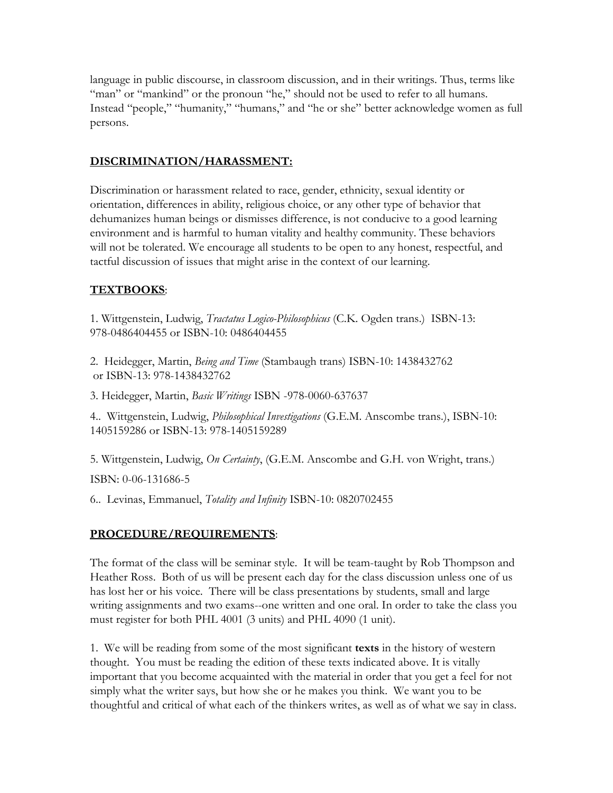language in public discourse, in classroom discussion, and in their writings. Thus, terms like "man" or "mankind" or the pronoun "he," should not be used to refer to all humans. Instead "people," "humanity," "humans," and "he or she" better acknowledge women as full persons.

### **DISCRIMINATION/HARASSMENT:**

Discrimination or harassment related to race, gender, ethnicity, sexual identity or orientation, differences in ability, religious choice, or any other type of behavior that dehumanizes human beings or dismisses difference, is not conducive to a good learning environment and is harmful to human vitality and healthy community. These behaviors will not be tolerated. We encourage all students to be open to any honest, respectful, and tactful discussion of issues that might arise in the context of our learning.

### **TEXTBOOKS**:

1. Wittgenstein, Ludwig, *Tractatus Logico-Philosophicus* (C.K. Ogden trans.) ISBN-13: 978-0486404455 or ISBN-10: 0486404455

2. Heidegger, Martin, *Being and Time* (Stambaugh trans) ISBN-10: 1438432762 or ISBN-13: 978-1438432762

3. Heidegger, Martin, *Basic Writings* ISBN -978-0060-637637

4.. Wittgenstein, Ludwig, *Philosophical Investigations* (G.E.M. Anscombe trans.), ISBN-10: 1405159286 or ISBN-13: 978-1405159289

5. Wittgenstein, Ludwig, *On Certainty*, (G.E.M. Anscombe and G.H. von Wright, trans.) ISBN: 0-06-131686-5

6.. Levinas, Emmanuel, *Totality and Infinity* ISBN-10: 0820702455

# **PROCEDURE/REQUIREMENTS**:

The format of the class will be seminar style. It will be team-taught by Rob Thompson and Heather Ross. Both of us will be present each day for the class discussion unless one of us has lost her or his voice. There will be class presentations by students, small and large writing assignments and two exams--one written and one oral. In order to take the class you must register for both PHL 4001 (3 units) and PHL 4090 (1 unit).

1. We will be reading from some of the most significant **texts** in the history of western thought. You must be reading the edition of these texts indicated above. It is vitally important that you become acquainted with the material in order that you get a feel for not simply what the writer says, but how she or he makes you think. We want you to be thoughtful and critical of what each of the thinkers writes, as well as of what we say in class.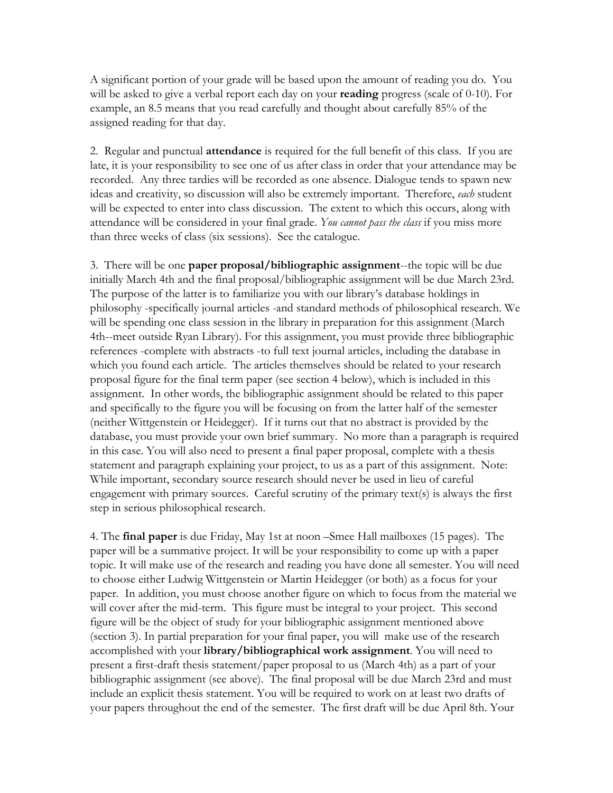A significant portion of your grade will be based upon the amount of reading you do. You will be asked to give a verbal report each day on your **reading** progress (scale of 0-10). For example, an 8.5 means that you read carefully and thought about carefully 85% of the assigned reading for that day.

2. Regular and punctual **attendance** is required for the full benefit of this class. If you are late, it is your responsibility to see one of us after class in order that your attendance may be recorded. Any three tardies will be recorded as one absence. Dialogue tends to spawn new ideas and creativity, so discussion will also be extremely important. Therefore, *each* student will be expected to enter into class discussion. The extent to which this occurs, along with attendance will be considered in your final grade. *You cannot pass the class* if you miss more than three weeks of class (six sessions). See the catalogue.

3. There will be one **paper proposal/bibliographic assignment**--the topic will be due initially March 4th and the final proposal/bibliographic assignment will be due March 23rd. The purpose of the latter is to familiarize you with our library's database holdings in philosophy -specifically journal articles -and standard methods of philosophical research. We will be spending one class session in the library in preparation for this assignment (March 4th--meet outside Ryan Library). For this assignment, you must provide three bibliographic references -complete with abstracts -to full text journal articles, including the database in which you found each article. The articles themselves should be related to your research proposal figure for the final term paper (see section 4 below), which is included in this assignment. In other words, the bibliographic assignment should be related to this paper and specifically to the figure you will be focusing on from the latter half of the semester (neither Wittgenstein or Heidegger). If it turns out that no abstract is provided by the database, you must provide your own brief summary. No more than a paragraph is required in this case. You will also need to present a final paper proposal, complete with a thesis statement and paragraph explaining your project, to us as a part of this assignment. Note: While important, secondary source research should never be used in lieu of careful engagement with primary sources. Careful scrutiny of the primary text(s) is always the first step in serious philosophical research.

4. The **final paper** is due Friday, May 1st at noon –Smee Hall mailboxes (15 pages). The paper will be a summative project. It will be your responsibility to come up with a paper topic. It will make use of the research and reading you have done all semester. You will need to choose either Ludwig Wittgenstein or Martin Heidegger (or both) as a focus for your paper. In addition, you must choose another figure on which to focus from the material we will cover after the mid-term. This figure must be integral to your project. This second figure will be the object of study for your bibliographic assignment mentioned above (section 3). In partial preparation for your final paper, you will make use of the research accomplished with your **library/bibliographical work assignment**. You will need to present a first-draft thesis statement/paper proposal to us (March 4th) as a part of your bibliographic assignment (see above). The final proposal will be due March 23rd and must include an explicit thesis statement. You will be required to work on at least two drafts of your papers throughout the end of the semester. The first draft will be due April 8th. Your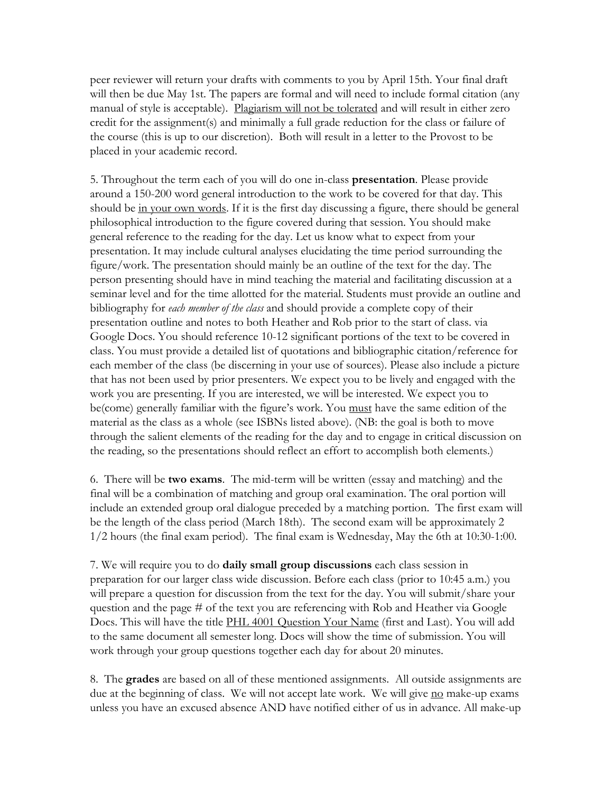peer reviewer will return your drafts with comments to you by April 15th. Your final draft will then be due May 1st. The papers are formal and will need to include formal citation (any manual of style is acceptable). Plagiarism will not be tolerated and will result in either zero credit for the assignment(s) and minimally a full grade reduction for the class or failure of the course (this is up to our discretion). Both will result in a letter to the Provost to be placed in your academic record.

5. Throughout the term each of you will do one in-class **presentation**. Please provide around a 150-200 word general introduction to the work to be covered for that day. This should be in your own words. If it is the first day discussing a figure, there should be general philosophical introduction to the figure covered during that session. You should make general reference to the reading for the day. Let us know what to expect from your presentation. It may include cultural analyses elucidating the time period surrounding the figure/work. The presentation should mainly be an outline of the text for the day. The person presenting should have in mind teaching the material and facilitating discussion at a seminar level and for the time allotted for the material. Students must provide an outline and bibliography for *each member of the class* and should provide a complete copy of their presentation outline and notes to both Heather and Rob prior to the start of class. via Google Docs. You should reference 10-12 significant portions of the text to be covered in class. You must provide a detailed list of quotations and bibliographic citation/reference for each member of the class (be discerning in your use of sources). Please also include a picture that has not been used by prior presenters. We expect you to be lively and engaged with the work you are presenting. If you are interested, we will be interested. We expect you to be(come) generally familiar with the figure's work. You must have the same edition of the material as the class as a whole (see ISBNs listed above). (NB: the goal is both to move through the salient elements of the reading for the day and to engage in critical discussion on the reading, so the presentations should reflect an effort to accomplish both elements.)

6. There will be **two exams**. The mid-term will be written (essay and matching) and the final will be a combination of matching and group oral examination. The oral portion will include an extended group oral dialogue preceded by a matching portion. The first exam will be the length of the class period (March 18th). The second exam will be approximately 2 1/2 hours (the final exam period). The final exam is Wednesday, May the 6th at 10:30-1:00.

7. We will require you to do **daily small group discussions** each class session in preparation for our larger class wide discussion. Before each class (prior to 10:45 a.m.) you will prepare a question for discussion from the text for the day. You will submit/share your question and the page # of the text you are referencing with Rob and Heather via Google Docs. This will have the title PHL 4001 Question Your Name (first and Last). You will add to the same document all semester long. Docs will show the time of submission. You will work through your group questions together each day for about 20 minutes.

8. The **grades** are based on all of these mentioned assignments. All outside assignments are due at the beginning of class. We will not accept late work. We will give no make-up exams unless you have an excused absence AND have notified either of us in advance. All make-up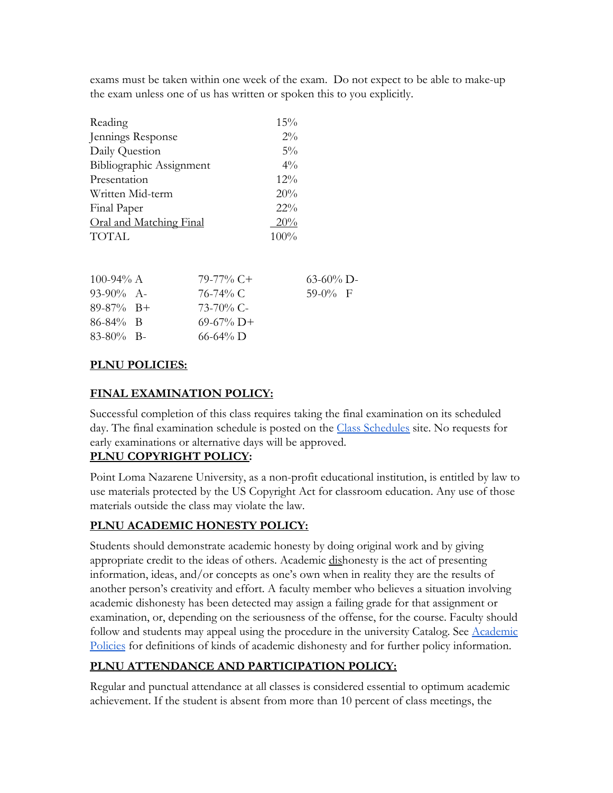exams must be taken within one week of the exam. Do not expect to be able to make-up the exam unless one of us has written or spoken this to you explicitly.

| Reading                  | 15%    |
|--------------------------|--------|
| Jennings Response        | $2\%$  |
| Daily Question           | $5\%$  |
| Bibliographic Assignment | $4\%$  |
| Presentation             | $12\%$ |
| Written Mid-term         | 20%    |
| Final Paper              | $22\%$ |
| Oral and Matching Final  | 20%    |
| <b>TOTAL</b>             | 100%   |

| 100-94% A     | 79-77% C+     | $63-60\%$ D- |  |
|---------------|---------------|--------------|--|
| $93-90\%$ A-  | 76-74% C      | $59-0\%$ F   |  |
| $89-87\%$ B+  | 73-70% C-     |              |  |
| $86 - 84\%$ B | $69-67\%$ D+  |              |  |
| $83-80\%$ B-  | $66 - 64\%$ D |              |  |

### **PLNU POLICIES:**

# **FINAL EXAMINATION POLICY:**

Successful completion of this class requires taking the final examination on its scheduled day. The final examination schedule is posted on the [Class Schedules](http://www.pointloma.edu/experience/academics/class-schedules) site. No requests for early examinations or alternative days will be approved.

# **PLNU COPYRIGHT POLICY:**

Point Loma Nazarene University, as a non-profit educational institution, is entitled by law to use materials protected by the US Copyright Act for classroom education. Any use of those materials outside the class may violate the law.

# **PLNU ACADEMIC HONESTY POLICY:**

Students should demonstrate academic honesty by doing original work and by giving appropriate credit to the ideas of others. Academic dishonesty is the act of presenting information, ideas, and/or concepts as one's own when in reality they are the results of another person's creativity and effort. A faculty member who believes a situation involving academic dishonesty has been detected may assign a failing grade for that assignment or examination, or, depending on the seriousness of the offense, for the course. Faculty should follow and students may appeal using the procedure in the university Catalog. See [Academic](http://catalog.pointloma.edu/content.php?catoid=18&navoid=1278) [Policies](http://catalog.pointloma.edu/content.php?catoid=18&navoid=1278) for definitions of kinds of academic dishonesty and for further policy information.

# **PLNU ATTENDANCE AND PARTICIPATION POLICY:**

Regular and punctual attendance at all classes is considered essential to optimum academic achievement. If the student is absent from more than 10 percent of class meetings, the